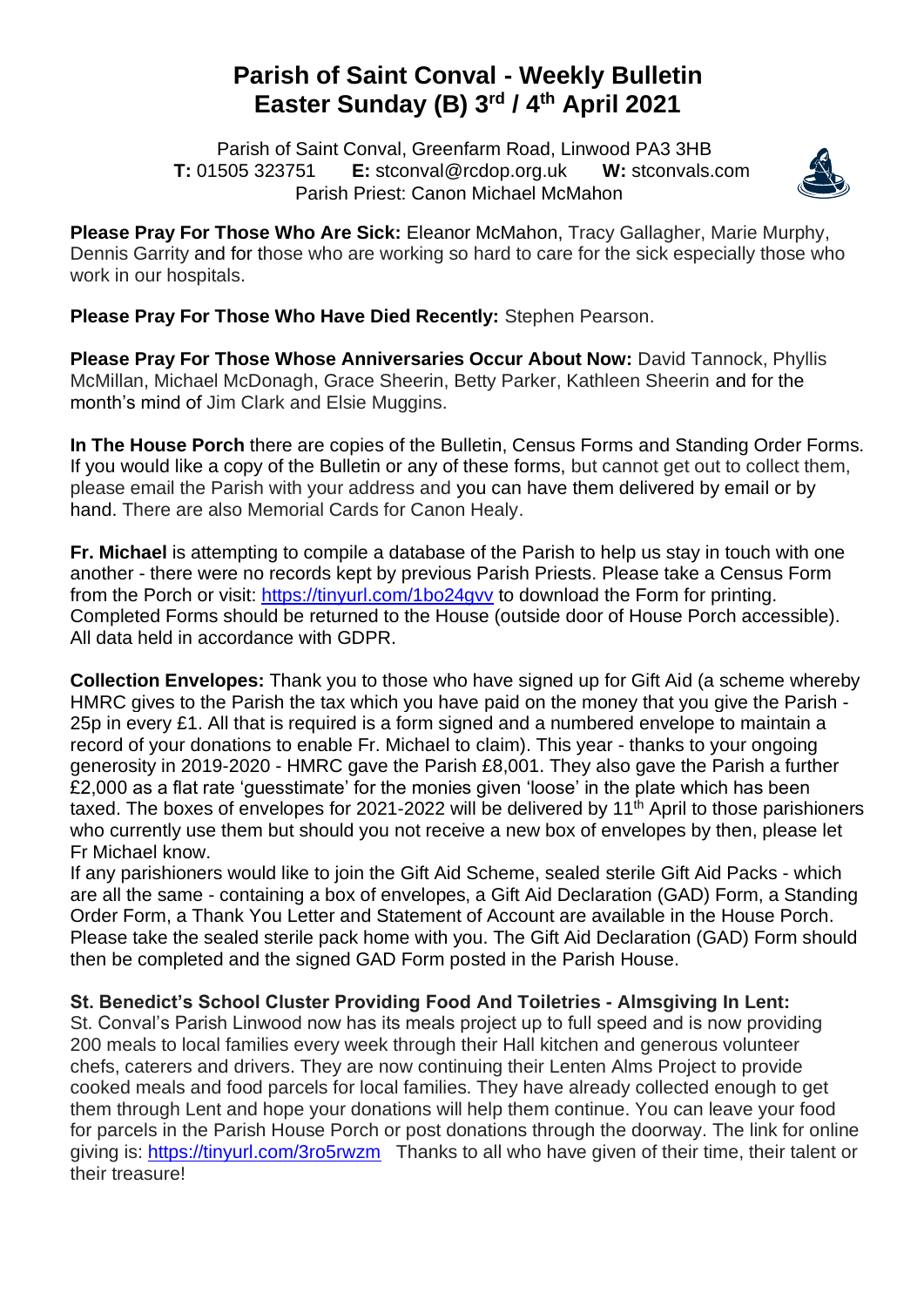## **Parish of Saint Conval - Weekly Bulletin Easter Sunday (B) 3 rd / 4 th April 2021**

 Parish of Saint Conval, Greenfarm Road, Linwood PA3 3HB **T:** 01505 323751 **E:** [stconval@rcdop.org.uk](mailto:stconval@rcdop.org.uk) **W:** stconvals.com Parish Priest: Canon Michael McMahon



**Please Pray For Those Who Are Sick:** Eleanor McMahon, Tracy Gallagher, Marie Murphy, Dennis Garrity and for those who are working so hard to care for the sick especially those who work in our hospitals.

**Please Pray For Those Who Have Died Recently:** Stephen Pearson.

**Please Pray For Those Whose Anniversaries Occur About Now:** David Tannock, Phyllis McMillan, Michael McDonagh, Grace Sheerin, Betty Parker, Kathleen Sheerin and for the month's mind of Jim Clark and Elsie Muggins.

**In The House Porch** there are copies of the Bulletin, Census Forms and Standing Order Forms. If you would like a copy of the Bulletin or any of these forms, but cannot get out to collect them, please email the Parish with your address and you can have them delivered by email or by hand. There are also Memorial Cards for Canon Healy.

**Fr. Michael** is attempting to compile a database of the Parish to help us stay in touch with one another - there were no records kept by previous Parish Priests. Please take a Census Form from the Porch or visit:<https://tinyurl.com/1bo24gvv> to download the Form for printing. Completed Forms should be returned to the House (outside door of House Porch accessible). All data held in accordance with GDPR.

**Collection Envelopes:** Thank you to those who have signed up for Gift Aid (a scheme whereby HMRC gives to the Parish the tax which you have paid on the money that you give the Parish - 25p in every £1. All that is required is a form signed and a numbered envelope to maintain a record of your donations to enable Fr. Michael to claim). This year - thanks to your ongoing generosity in 2019-2020 - HMRC gave the Parish £8,001. They also gave the Parish a further £2,000 as a flat rate 'guesstimate' for the monies given 'loose' in the plate which has been taxed. The boxes of envelopes for 2021-2022 will be delivered by 11<sup>th</sup> April to those parishioners who currently use them but should you not receive a new box of envelopes by then, please let Fr Michael know.

If any parishioners would like to join the Gift Aid Scheme, sealed sterile Gift Aid Packs - which are all the same - containing a box of envelopes, a Gift Aid Declaration (GAD) Form, a Standing Order Form, a Thank You Letter and Statement of Account are available in the House Porch. Please take the sealed sterile pack home with you. The Gift Aid Declaration (GAD) Form should then be completed and the signed GAD Form posted in the Parish House.

**St. Benedict's School Cluster Providing Food And Toiletries - Almsgiving In Lent:** 

St. Conval's Parish Linwood now has its meals project up to full speed and is now providing 200 meals to local families every week through their Hall kitchen and generous volunteer chefs, caterers and drivers. They are now continuing their Lenten Alms Project to provide cooked meals and food parcels for local families. They have already collected enough to get them through Lent and hope your donations will help them continue. You can leave your food for parcels in the Parish House Porch or post donations through the doorway. The link for online giving is:<https://tinyurl.com/3ro5rwzm>Thanks to all who have given of their time, their talent or their treasure!